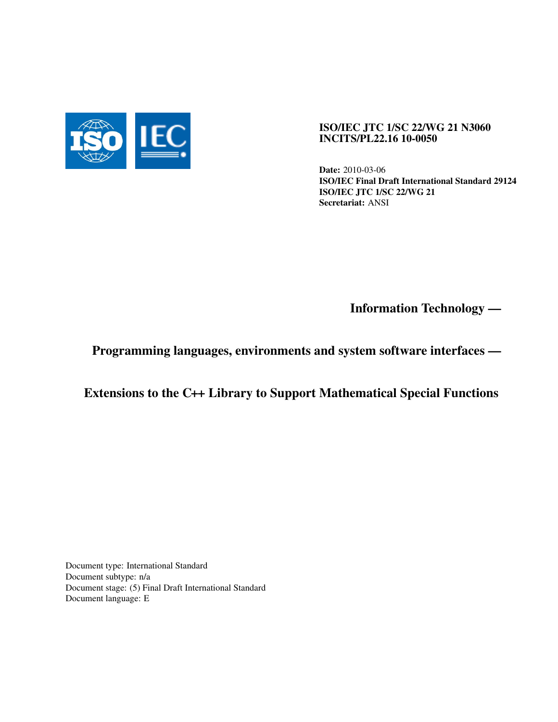

## ISO/IEC JTC 1/SC 22/WG 21 N3060 INCITS/PL22.16 10-0050

Date: 2010-03-06 ISO/IEC Final Draft International Standard 29124 ISO/IEC JTC 1/SC 22/WG 21 Secretariat: ANSI

Information Technology —

Programming languages, environments and system software interfaces —

Extensions to the C++ Library to Support Mathematical Special Functions

Document type: International Standard Document subtype: n/a Document stage: (5) Final Draft International Standard Document language: E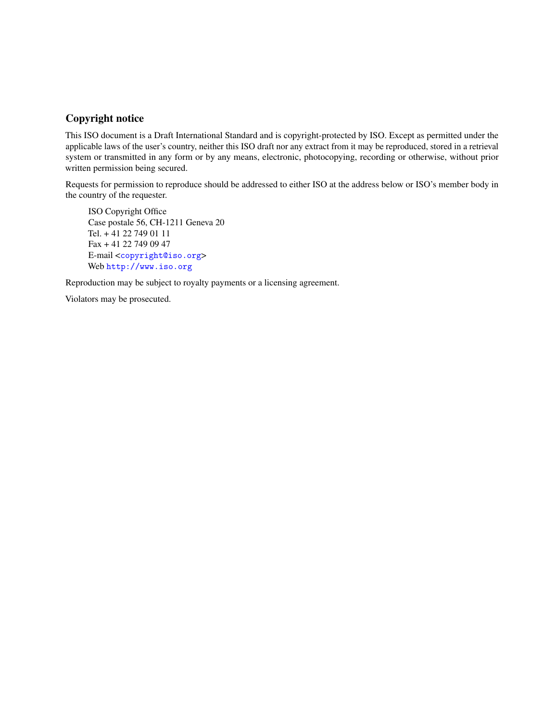## Copyright notice

This ISO document is a Draft International Standard and is copyright-protected by ISO. Except as permitted under the applicable laws of the user's country, neither this ISO draft nor any extract from it may be reproduced, stored in a retrieval system or transmitted in any form or by any means, electronic, photocopying, recording or otherwise, without prior written permission being secured.

Requests for permission to reproduce should be addressed to either ISO at the address below or ISO's member body in the country of the requester.

ISO Copyright Office Case postale 56, CH-1211 Geneva 20 Tel. + 41 22 749 01 11 Fax + 41 22 749 09 47 E-mail <[copyright@iso.org](mailto:copyright@iso.org)> Web <http://www.iso.org>

Reproduction may be subject to royalty payments or a licensing agreement.

Violators may be prosecuted.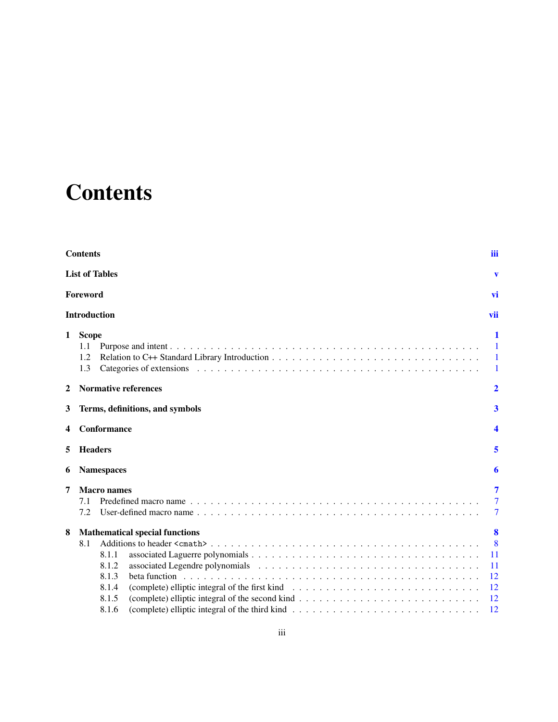# **Contents**

<span id="page-2-0"></span>

| <b>Contents</b> |                                       |                                                                                                                                                                                          |                                        |  |
|-----------------|---------------------------------------|------------------------------------------------------------------------------------------------------------------------------------------------------------------------------------------|----------------------------------------|--|
|                 |                                       | <b>List of Tables</b>                                                                                                                                                                    | v                                      |  |
|                 | Foreword                              |                                                                                                                                                                                          | vi                                     |  |
|                 | <b>Introduction</b>                   |                                                                                                                                                                                          | vii                                    |  |
| 1               | <b>Scope</b><br>1.1<br>1.2<br>1.3     |                                                                                                                                                                                          | 1<br>$\mathbf{1}$<br>$\mathbf{1}$<br>1 |  |
| 2               |                                       | <b>Normative references</b>                                                                                                                                                              | 2                                      |  |
| 3               | Terms, definitions, and symbols       |                                                                                                                                                                                          | 3                                      |  |
| 4               | Conformance                           |                                                                                                                                                                                          | 4                                      |  |
| 5               | <b>Headers</b>                        |                                                                                                                                                                                          | 5                                      |  |
| 6               | <b>Namespaces</b>                     |                                                                                                                                                                                          | 6                                      |  |
| 7               | 7.1<br>7.2                            | <b>Macro</b> names<br>Predefined macro name $\ldots$ , $\ldots$ , $\ldots$ , $\ldots$ , $\ldots$ , $\ldots$ , $\ldots$ , $\ldots$ , $\ldots$ , $\ldots$ , $\ldots$ , $\ldots$ , $\ldots$ | 7<br>$\tau$<br>7                       |  |
| 8               | <b>Mathematical special functions</b> |                                                                                                                                                                                          | 8                                      |  |
|                 | 8.1                                   |                                                                                                                                                                                          | 8                                      |  |
|                 |                                       | 8.1.1                                                                                                                                                                                    | 11                                     |  |
|                 |                                       | 8.1.2                                                                                                                                                                                    | 11                                     |  |
|                 |                                       | 8.1.3                                                                                                                                                                                    | 12                                     |  |
|                 |                                       | 8.1.4<br>8.1.5                                                                                                                                                                           | 12<br>12                               |  |
|                 |                                       | (complete) elliptic integral of the second kind $\ldots \ldots \ldots \ldots \ldots \ldots \ldots \ldots \ldots \ldots$<br>8.1.6                                                         | 12                                     |  |
|                 |                                       |                                                                                                                                                                                          |                                        |  |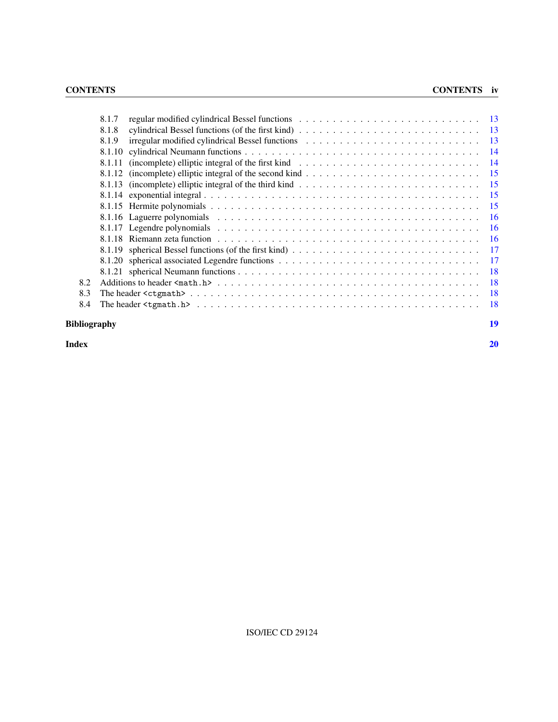|     | 8.1.7  |           |
|-----|--------|-----------|
|     | 8.1.8  | -13       |
|     | 8.1.9  | -13       |
|     |        | -14       |
|     | 8.1.11 | -14       |
|     |        | -15       |
|     |        | -15       |
|     |        | -15       |
|     |        | -15       |
|     |        | -16       |
|     |        | -16       |
|     |        | -16       |
|     |        | 17        |
|     |        | 17        |
|     |        | -18       |
| 8.2 |        | <b>18</b> |
| 8.3 |        | -18       |
| 8.4 |        | -18       |
|     |        |           |

## Bibliography [19](#page-26-0)

Index [20](#page-27-0)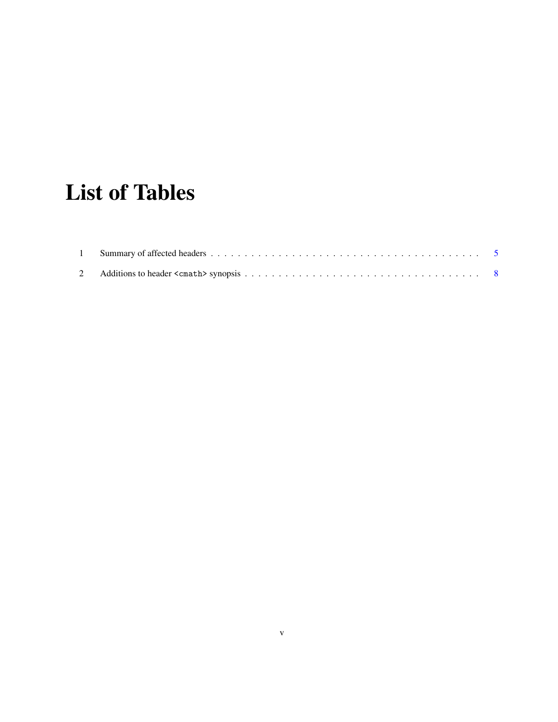# List of Tables

<span id="page-4-0"></span>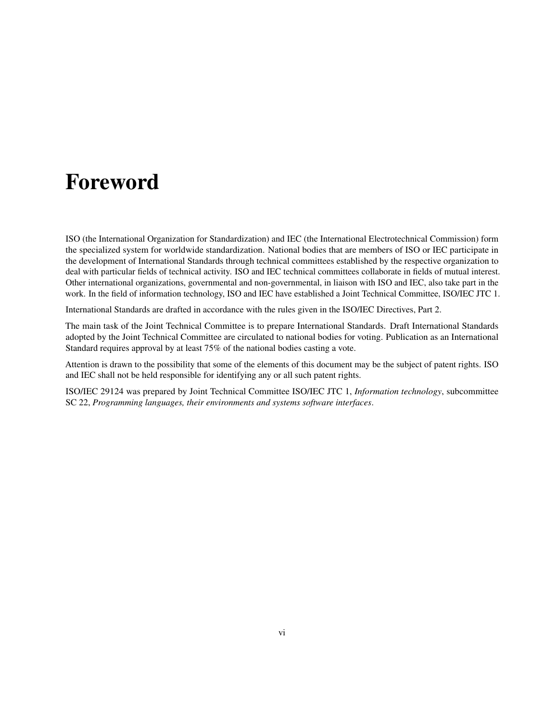# <span id="page-5-0"></span>Foreword

ISO (the International Organization for Standardization) and IEC (the International Electrotechnical Commission) form the specialized system for worldwide standardization. National bodies that are members of ISO or IEC participate in the development of International Standards through technical committees established by the respective organization to deal with particular fields of technical activity. ISO and IEC technical committees collaborate in fields of mutual interest. Other international organizations, governmental and non-governmental, in liaison with ISO and IEC, also take part in the work. In the field of information technology, ISO and IEC have established a Joint Technical Committee, ISO/IEC JTC 1.

International Standards are drafted in accordance with the rules given in the ISO/IEC Directives, Part 2.

The main task of the Joint Technical Committee is to prepare International Standards. Draft International Standards adopted by the Joint Technical Committee are circulated to national bodies for voting. Publication as an International Standard requires approval by at least 75% of the national bodies casting a vote.

Attention is drawn to the possibility that some of the elements of this document may be the subject of patent rights. ISO and IEC shall not be held responsible for identifying any or all such patent rights.

ISO/IEC 29124 was prepared by Joint Technical Committee ISO/IEC JTC 1, *Information technology*, subcommittee SC 22, *Programming languages, their environments and systems software interfaces*.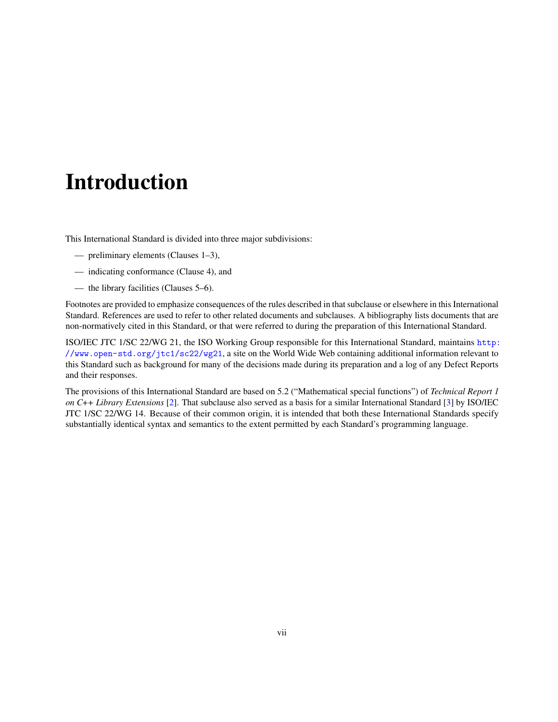# <span id="page-6-0"></span>Introduction

This International Standard is divided into three major subdivisions:

- preliminary elements (Clauses 1–3),
- indicating conformance (Clause 4), and
- the library facilities (Clauses 5–6).

Footnotes are provided to emphasize consequences of the rules described in that subclause or elsewhere in this International Standard. References are used to refer to other related documents and subclauses. A bibliography lists documents that are non-normatively cited in this Standard, or that were referred to during the preparation of this International Standard.

ISO/IEC JTC 1/SC 22/WG 21, the ISO Working Group responsible for this International Standard, maintains [http:](http://www.open-std.org/jtc1/sc22/wg21) [//www.open-std.org/jtc1/sc22/wg21](http://www.open-std.org/jtc1/sc22/wg21), a site on the World Wide Web containing additional information relevant to this Standard such as background for many of the decisions made during its preparation and a log of any Defect Reports and their responses.

The provisions of this International Standard are based on 5.2 ("Mathematical special functions") of *Technical Report 1 on C++ Library Extensions* [\[2\]](#page-26-1). That subclause also served as a basis for a similar International Standard [\[3\]](#page-26-2) by ISO/IEC JTC 1/SC 22/WG 14. Because of their common origin, it is intended that both these International Standards specify substantially identical syntax and semantics to the extent permitted by each Standard's programming language.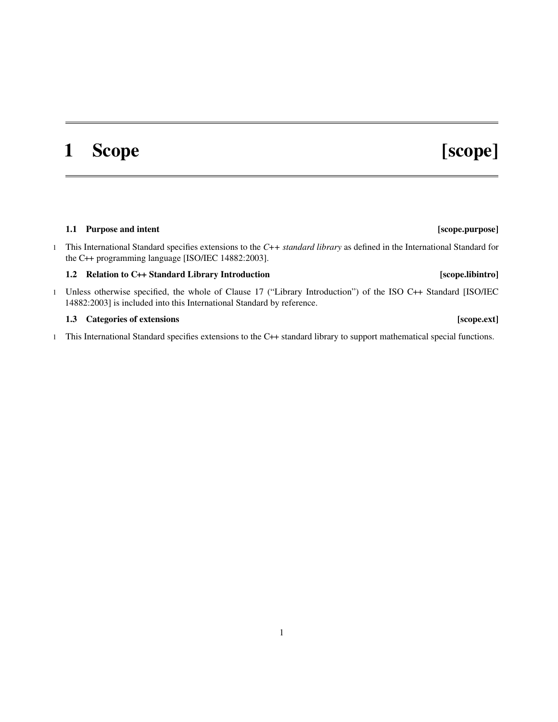# <span id="page-8-0"></span>1 Scope [scope]

## <span id="page-8-1"></span>1.1 Purpose and intent **contained a set of the contained and intent** set of the set of the set of the set of the set of the set of the set of the set of the set of the set of the set of the set of the set of the set of the

1 This International Standard specifies extensions to the *C++ standard library* as defined in the International Standard for the C++ programming language [ISO/IEC 14882:2003].

## <span id="page-8-2"></span>1.2 Relation to C++ Standard Library Introduction [scope.libintro]

1 Unless otherwise specified, the whole of Clause 17 ("Library Introduction") of the ISO C++ Standard [ISO/IEC 14882:2003] is included into this International Standard by reference.

### <span id="page-8-3"></span>1.3 Categories of extensions **contained a set of extensions** [scope.ext]

1 This International Standard specifies extensions to the C++ standard library to support mathematical special functions.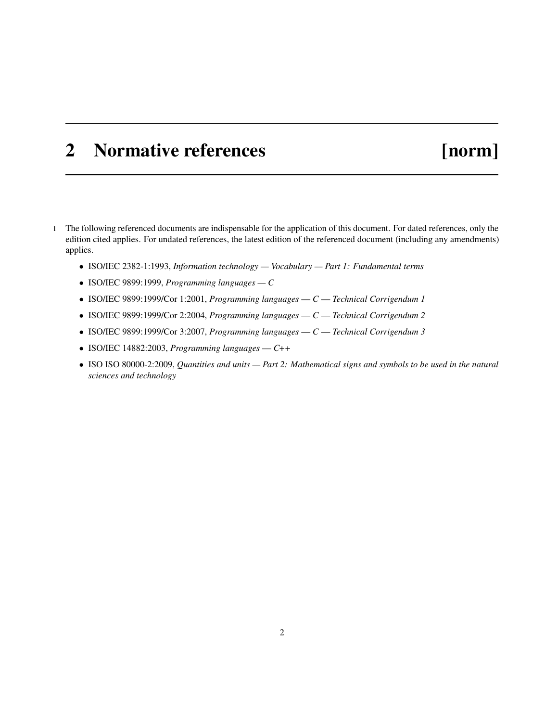## <span id="page-9-0"></span>2 Normative references [norm]

- 1 The following referenced documents are indispensable for the application of this document. For dated references, only the edition cited applies. For undated references, the latest edition of the referenced document (including any amendments) applies.
	- ISO/IEC 2382-1:1993, *Information technology Vocabulary Part 1: Fundamental terms*
	- ISO/IEC 9899:1999, *Programming languages C*
	- ISO/IEC 9899:1999/Cor 1:2001, *Programming languages C Technical Corrigendum 1*
	- ISO/IEC 9899:1999/Cor 2:2004, *Programming languages C Technical Corrigendum 2*
	- ISO/IEC 9899:1999/Cor 3:2007, *Programming languages C Technical Corrigendum 3*
	- ISO/IEC 14882:2003, *Programming languages C++*
	- ISO ISO 80000-2:2009, *Quantities and units Part 2: Mathematical signs and symbols to be used in the natural sciences and technology*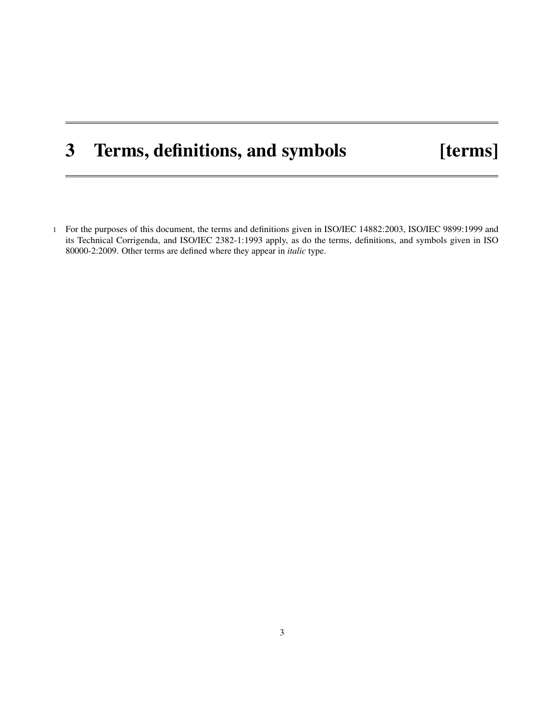# <span id="page-10-0"></span>3 Terms, definitions, and symbols [terms]

1 For the purposes of this document, the terms and definitions given in ISO/IEC 14882:2003, ISO/IEC 9899:1999 and its Technical Corrigenda, and ISO/IEC 2382-1:1993 apply, as do the terms, definitions, and symbols given in ISO 80000-2:2009. Other terms are defined where they appear in *italic* type.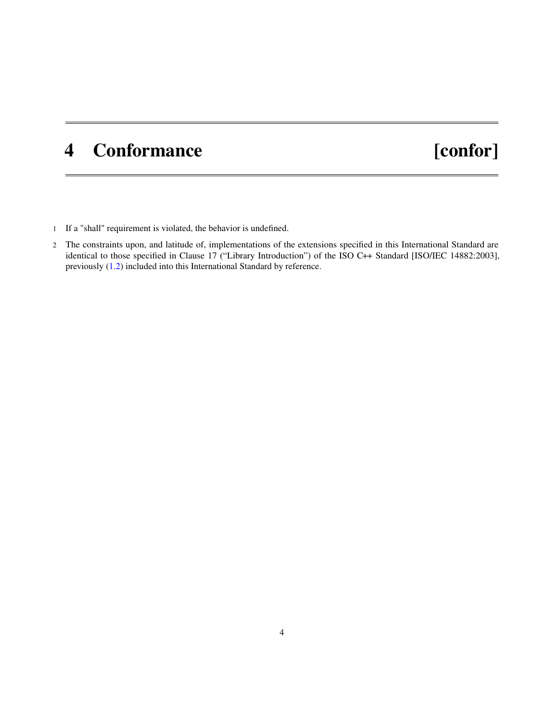# <span id="page-11-0"></span>4 Conformance [confor]

- 1 If a "shall" requirement is violated, the behavior is undefined.
- 2 The constraints upon, and latitude of, implementations of the extensions specified in this International Standard are identical to those specified in Clause 17 ("Library Introduction") of the ISO C++ Standard [ISO/IEC 14882:2003], previously [\(1.2\)](#page-8-2) included into this International Standard by reference.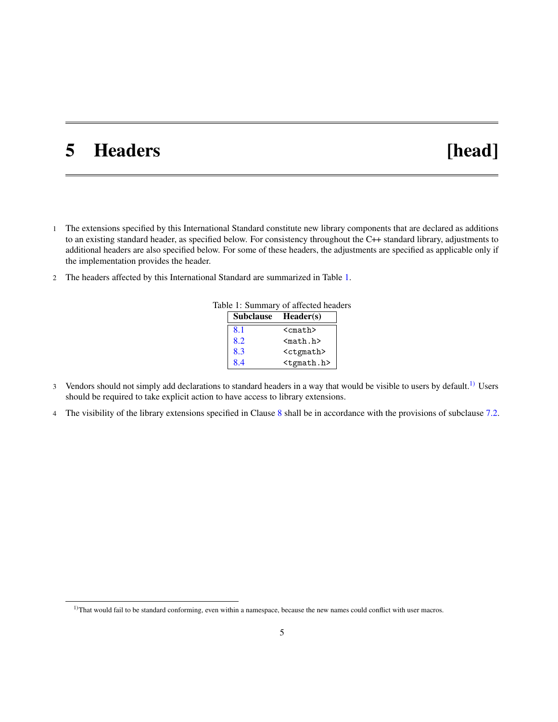# <span id="page-12-3"></span><span id="page-12-0"></span>5 Headers [head]

- 1 The extensions specified by this International Standard constitute new library components that are declared as additions to an existing standard header, as specified below. For consistency throughout the C++ standard library, adjustments to additional headers are also specified below. For some of these headers, the adjustments are specified as applicable only if the implementation provides the header.
- 2 The headers affected by this International Standard are summarized in Table [1.](#page-12-1)

<span id="page-12-1"></span>

| DIE 1. SUMMALY OF ALLECTEU HEAT |                     |                       |
|---------------------------------|---------------------|-----------------------|
|                                 | Subclause Header(s) |                       |
|                                 | 8.1                 | <cmath></cmath>       |
|                                 | 8.2                 | $math. h>$            |
|                                 | 8.3                 | <ctgmath></ctgmath>   |
|                                 | 8.4                 | <tgmath.h></tgmath.h> |

- Table 1: Summary of affected headers
- 3 Vendors should not simply add declarations to standard headers in a way that would be visible to users by default.<sup>[1\)](#page-12-2)</sup> Users should be required to take explicit action to have access to library extensions.
- 4 The visibility of the library extensions specified in Clause [8](#page-15-0) shall be in accordance with the provisions of subclause [7.2.](#page-14-2)

<span id="page-12-2"></span><sup>&</sup>lt;sup>1)</sup>That would fail to be standard conforming, even within a namespace, because the new names could conflict with user macros.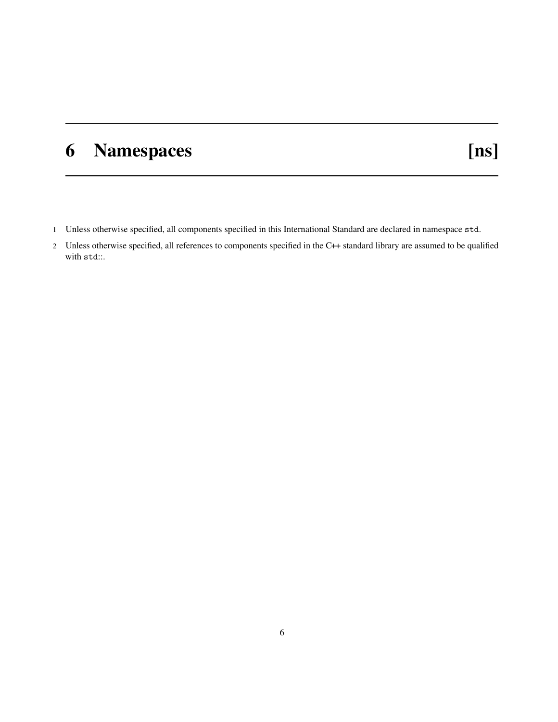# <span id="page-13-1"></span><span id="page-13-0"></span>6 Namespaces [ns]

- 1 Unless otherwise specified, all components specified in this International Standard are declared in namespace std.
- 2 Unless otherwise specified, all references to components specified in the C++ standard library are assumed to be qualified with std::.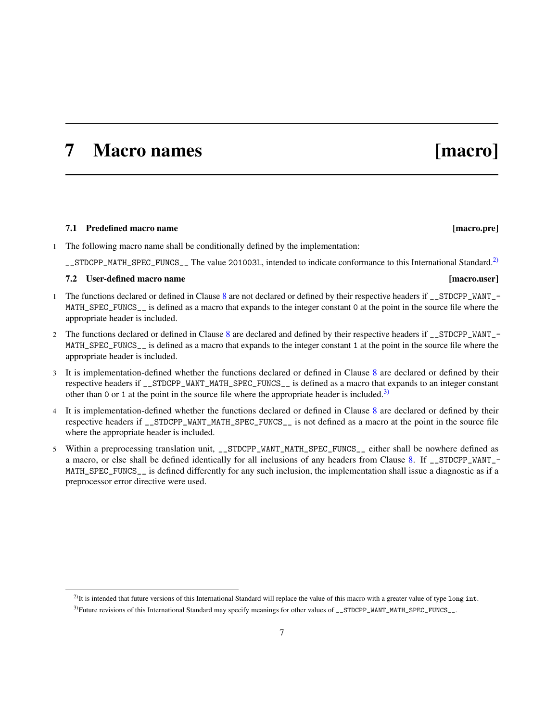## <span id="page-14-5"></span><span id="page-14-0"></span>7 Macro names [macro]

### <span id="page-14-1"></span>7.1 Predefined macro name **[macro.pre]** [macro.pre]

- 1 The following macro name shall be conditionally defined by the implementation:
	- \_STDCPP\_MATH\_SPEC\_FUNCS\_\_ The value 201003L, intended to indicate conformance to this International Standard.<sup>[2\)](#page-14-3)</sup>

### <span id="page-14-2"></span>7.2 User-defined macro name [macro.user]

- 1 The functions declared or defined in Clause [8](#page-15-0) are not declared or defined by their respective headers if \_\_STDCPP\_WANT\_- MATH\_SPEC\_FUNCS\_\_ is defined as a macro that expands to the integer constant 0 at the point in the source file where the appropriate header is included.
- 2 The functions declared or defined in Clause [8](#page-15-0) are declared and defined by their respective headers if \_\_STDCPP\_WANT\_- MATH\_SPEC\_FUNCS\_\_ is defined as a macro that expands to the integer constant 1 at the point in the source file where the appropriate header is included.
- 3 It is implementation-defined whether the functions declared or defined in Clause  $8$  are declared or defined by their respective headers if \_\_STDCPP\_WANT\_MATH\_SPEC\_FUNCS\_\_ is defined as a macro that expands to an integer constant other than 0 or 1 at the point in the source file where the appropriate header is included.<sup>[3\)](#page-14-4)</sup>
- 4 It is implementation-defined whether the functions declared or defined in Clause [8](#page-15-0) are declared or defined by their respective headers if \_\_STDCPP\_WANT\_MATH\_SPEC\_FUNCS\_\_ is not defined as a macro at the point in the source file where the appropriate header is included.
- 5 Within a preprocessing translation unit, \_\_STDCPP\_WANT\_MATH\_SPEC\_FUNCS\_\_ either shall be nowhere defined as a macro, or else shall be defined identically for all inclusions of any headers from Clause [8.](#page-15-0) If \_\_STDCPP\_WANT\_- MATH\_SPEC\_FUNCS\_\_ is defined differently for any such inclusion, the implementation shall issue a diagnostic as if a preprocessor error directive were used.

<span id="page-14-3"></span> $^{2)}$ It is intended that future versions of this International Standard will replace the value of this macro with a greater value of type long int.

<span id="page-14-4"></span><sup>&</sup>lt;sup>3)</sup>Future revisions of this International Standard may specify meanings for other values of \_\_STDCPP\_WANT\_MATH\_SPEC\_FUNCS\_\_.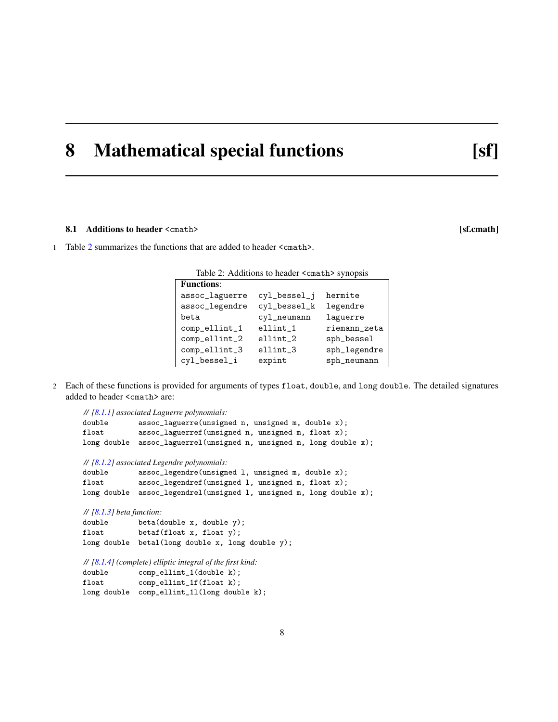## <span id="page-15-3"></span><span id="page-15-0"></span>8 Mathematical special functions [sf]

### <span id="page-15-1"></span>8.1 Additions to header <cmath> [sf.cmath]

1 Table [2](#page-15-2) summarizes the functions that are added to header <cmath>.

<span id="page-15-2"></span>

| <b>Functions:</b> |              |                |
|-------------------|--------------|----------------|
| assoc_laguerre    | cyl_bessel_j | hermite        |
| assoc_legendre    | cyl_bessel_k | legendre       |
| beta              | cyl_neumann  | laguerre       |
| comp_ellint_1     | ellint_1     | riemann_zeta   |
| comp_ellint_2     | $ellint_2$   | sph_bessel     |
| comp_ellint_3     | ellint_3     | sph_legendre   |
| cyl_bessel_i      | expint       | $sph\_neumann$ |

2 Each of these functions is provided for arguments of types float, double, and long double. The detailed signatures added to header <cmath> are:

```
// [8.1.1] associated Laguerre polynomials:
double assoc_laguerre(unsigned n, unsigned m, double x);
float assoc_laguerref(unsigned n, unsigned m, float x);
long double assoc_laguerrel(unsigned n, unsigned m, long double x);
// [8.1.2] associated Legendre polynomials:
double assoc_legendre(unsigned l, unsigned m, double x);
float assoc_legendref(unsigned 1, unsigned m, float x);
long double assoc_legendrel(unsigned 1, unsigned m, long double x);
// [8.1.3] beta function:
double beta(double x, double y);
float betaf(float x, float y);
long double betal(long double x, long double y);
// [8.1.4] (complete) elliptic integral of the first kind:
double comp_ellint_1(double k);
float comp_ellint_1f(float k);
long double comp_ellint_1l(long double k);
```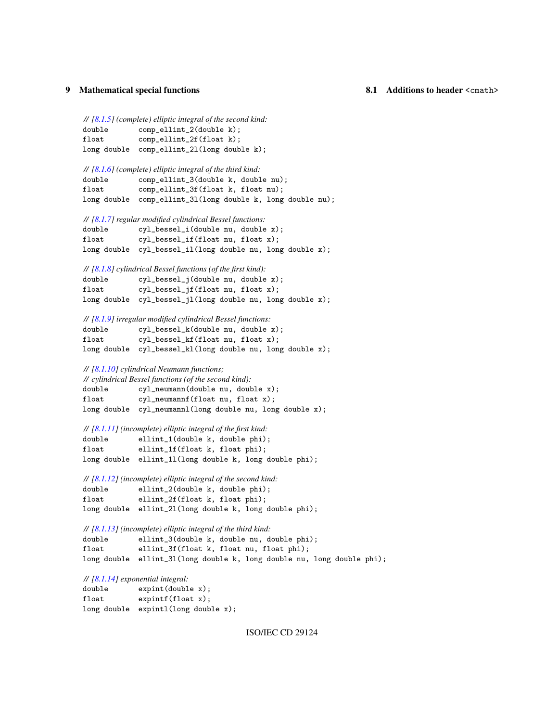```
// [8.1.5] (complete) elliptic integral of the second kind:
double comp_ellint_2(double k);
float comp_ellint_2f(float k);
long double comp_ellint_2l(long double k);
```

```
// [8.1.6] (complete) elliptic integral of the third kind:
double comp_ellint_3(double k, double nu);
float comp_ellint_3f(float k, float nu);
long double comp_ellint_3l(long double k, long double nu);
```

```
// [8.1.7] regular modified cylindrical Bessel functions:
double cyl_bessel_i(double nu, double x);
float cyl_bessel_if(float nu, float x);
long double cyl_bessel_il(long double nu, long double x);
```

|                | $\frac{1}{18.1.8}$ cylindrical Bessel functions (of the first kind): |
|----------------|----------------------------------------------------------------------|
| double         | cyl_bessel_j(double nu, double x);                                   |
| $_{\tt float}$ | $cv1_bessel_i f(fload nu, float x);$                                 |
|                | long double cyl_bessel_jl(long double nu, long double x);            |

```
// [8.1.9] irregular modified cylindrical Bessel functions:
```

```
double cyl_bessel_k(double nu, double x);
float cyl_bessel_kf(float nu, float x);
long double cyl_bessel_kl(long double nu, long double x);
```
### *// [\[8.1.10\]](#page-21-0) cylindrical Neumann functions;*

| // cylindrical Bessel functions (of the second kind): |                                                             |  |  |
|-------------------------------------------------------|-------------------------------------------------------------|--|--|
| double                                                | $cyl$ neumann(double nu, double x);                         |  |  |
| $_{\tt float}$                                        | $cyl$ neumannf (float nu, float x);                         |  |  |
|                                                       | long double $cy1$ -neumannl(long double nu, long double x); |  |  |

```
// [8.1.11] (incomplete) elliptic integral of the first kind:
double ellint_1(double k, double phi);
float ellint_1f(float k, float phi);
long double ellint_1l(long double k, long double phi);
```
*// [\[8.1.12\]](#page-22-0) (incomplete) elliptic integral of the second kind:* double ellint\_2(double k, double phi); float ellint\_2f(float k, float phi); long double ellint\_2l(long double k, long double phi);

```
// [8.1.13] (incomplete) elliptic integral of the third kind:
double ellint_3(double k, double nu, double phi);
float ellint_3f(float k, float nu, float phi);
long double ellint_3l(long double k, long double nu, long double phi);
```
*// [\[8.1.14\]](#page-22-2) exponential integral:*

| double | expint(double x);                   |
|--------|-------------------------------------|
| float  | expintf(flost x);                   |
|        | long double expintl(long double x); |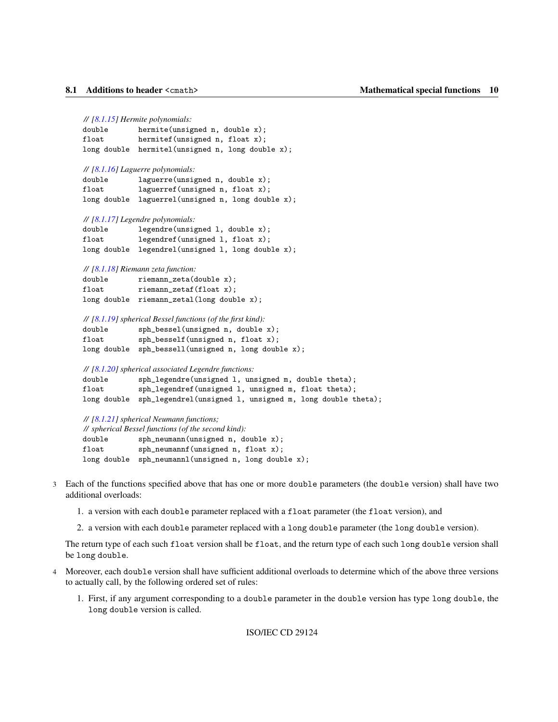```
// [8.1.15] Hermite polynomials:
double hermite(unsigned n, double x);
float hermitef(unsigned n, float x);
long double hermitel(unsigned n, long double x);
// [8.1.16] Laguerre polynomials:
double laguerre(unsigned n, double x);
float laguerref(unsigned n, float x);
long double laguerrel(unsigned n, long double x);
// [8.1.17] Legendre polynomials:
double legendre(unsigned l, double x);
float legendref(unsigned 1, float x);
long double legendrel(unsigned l, long double x);
// [8.1.18] Riemann zeta function:
double riemann_zeta(double x);
float riemann_zetaf(float x);
long double riemann_zetal(long double x);
// [8.1.19] spherical Bessel functions (of the first kind):
double sph_bessel(unsigned n, double x);
float sph_besself(unsigned n, float x);
long double sph_bessell(unsigned n, long double x);
// [8.1.20] spherical associated Legendre functions:
double sph_legendre(unsigned l, unsigned m, double theta);
float sph_legendref(unsigned 1, unsigned m, float theta);
long double sph_legendrel(unsigned 1, unsigned m, long double theta);
```
*// [\[8.1.21\]](#page-25-0) spherical Neumann functions; // spherical Bessel functions (of the second kind):* double sph\_neumann(unsigned n, double x); float sph\_neumannf(unsigned n, float x); long double sph\_neumannl(unsigned n, long double x);

- 3 Each of the functions specified above that has one or more double parameters (the double version) shall have two additional overloads:
	- 1. a version with each double parameter replaced with a float parameter (the float version), and
	- 2. a version with each double parameter replaced with a long double parameter (the long double version).

The return type of each such float version shall be float, and the return type of each such long double version shall be long double.

- 4 Moreover, each double version shall have sufficient additional overloads to determine which of the above three versions to actually call, by the following ordered set of rules:
	- 1. First, if any argument corresponding to a double parameter in the double version has type long double, the long double version is called.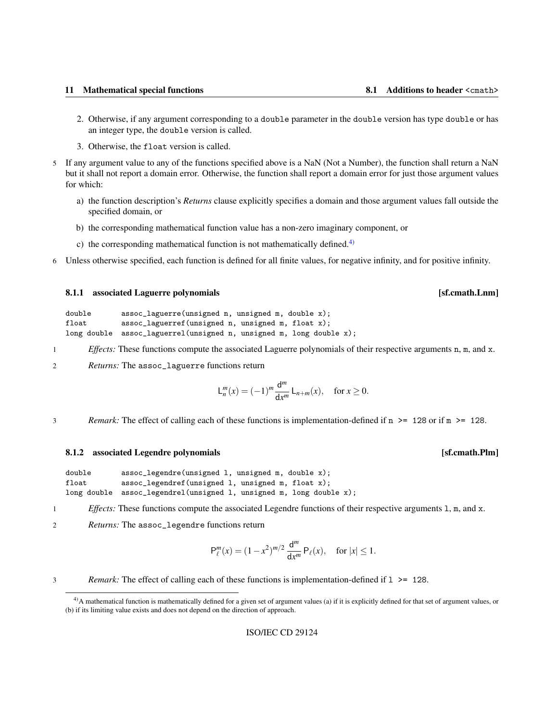- <span id="page-18-3"></span>2. Otherwise, if any argument corresponding to a double parameter in the double version has type double or has an integer type, the double version is called.
- 3. Otherwise, the float version is called.
- 5 If any argument value to any of the functions specified above is a NaN (Not a Number), the function shall return a NaN but it shall not report a domain error. Otherwise, the function shall report a domain error for just those argument values for which:
	- a) the function description's *Returns* clause explicitly specifies a domain and those argument values fall outside the specified domain, or
	- b) the corresponding mathematical function value has a non-zero imaginary component, or
	- c) the corresponding mathematical function is not mathematically defined.<sup>[4\)](#page-18-2)</sup>
- 6 Unless otherwise specified, each function is defined for all finite values, for negative infinity, and for positive infinity.

### <span id="page-18-0"></span>8.1.1 associated Laguerre polynomials **Example 2.1.1** associated Laguerre polynomials

```
double assoc_laguerre(unsigned n, unsigned m, double x);
float assoc_laguerref(unsigned n, unsigned m, float x);
long double assoc_laguerrel(unsigned n, unsigned m, long double x);
```
- 1 *Effects:* These functions compute the associated Laguerre polynomials of their respective arguments n, m, and x.
- 2 *Returns:* The assoc\_laguerre functions return

$$
\mathsf{L}_n^m(x) = (-1)^m \frac{\mathsf{d}^m}{\mathsf{d}x^m} \mathsf{L}_{n+m}(x), \quad \text{for } x \ge 0.
$$

3 *Remark:* The effect of calling each of these functions is implementation-defined if n >= 128 or if m >= 128.

### <span id="page-18-1"></span>8.1.2 associated Legendre polynomials **and in the set of the set of the set of the set of the set of the set of the set of the set of the set of the set of the set of the set of the set of the set of the set of the set of**

| double | $assoc\_legendre(unsigned 1, unsigned m, double x);$                |
|--------|---------------------------------------------------------------------|
| float  | $assoc\_legendref$ (unsigned 1, unsigned m, float x);               |
|        | long double assoc_legendrel(unsigned 1, unsigned m, long double x); |

1 *Effects:* These functions compute the associated Legendre functions of their respective arguments 1, m, and x.

2 *Returns:* The assoc\_legendre functions return

$$
\mathsf{P}_{\ell}^{m}(x) = (1 - x^{2})^{m/2} \frac{\mathrm{d}^{m}}{\mathrm{d}x^{m}} \mathsf{P}_{\ell}(x), \quad \text{for } |x| \leq 1.
$$

<sup>3</sup> *Remark:* The effect of calling each of these functions is implementation-defined if l >= 128.

<span id="page-18-2"></span><sup>&</sup>lt;sup>4)</sup>A mathematical function is mathematically defined for a given set of argument values (a) if it is explicitly defined for that set of argument values, or (b) if its limiting value exists and does not depend on the direction of approach.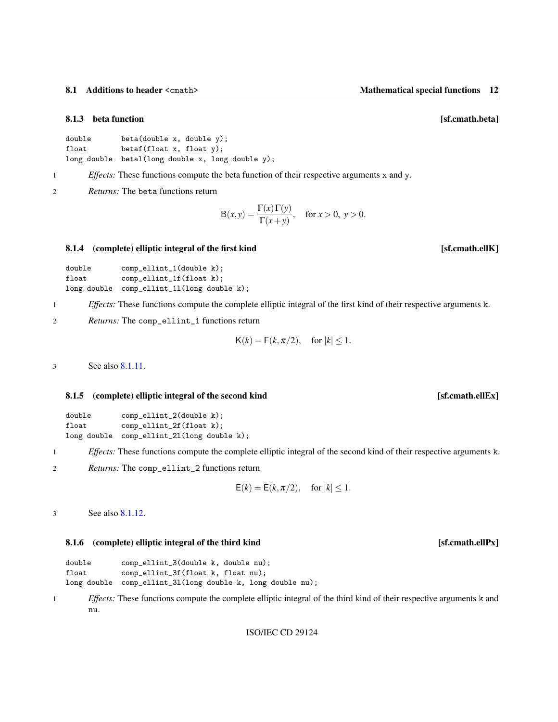### <span id="page-19-4"></span><span id="page-19-0"></span>8.1.3 beta function **beta** function **beta** function **beta contract to the set of the set of the set of the set of the set of the set of the set of the set of the set of the set of the set of the set of the set of the set**

```
double beta(double x, double y);
float betaf(float x, float y);
long double betal(long double x, long double y);
```
1 *Effects:* These functions compute the beta function of their respective arguments x and y.

2 *Returns:* The beta functions return

$$
B(x, y) = \frac{\Gamma(x)\Gamma(y)}{\Gamma(x+y)}, \quad \text{for } x > 0, \ y > 0.
$$

### <span id="page-19-1"></span>8.1.4 (complete) elliptic integral of the first kind [sf.cmath.ellK]

```
double comp_ellint_1(double k);
float comp_ellint_1f(float k);
long double comp_ellint_1l(long double k);
```
1 *Effects:* These functions compute the complete elliptic integral of the first kind of their respective arguments k.

2 *Returns:* The comp\_ellint\_1 functions return

$$
K(k) = F(k, \pi/2), \quad \text{for } |k| \le 1.
$$

3 See also [8.1.11.](#page-21-1)

### <span id="page-19-2"></span>8.1.5 (complete) elliptic integral of the second kind [sf.cmath.ellEx]

| double | comp_ellint_2(double k);                   |
|--------|--------------------------------------------|
| float  | $comp$ -ellint_2f(float k);                |
|        | long double comp_ellint_21(long double k); |

1 *Effects:* These functions compute the complete elliptic integral of the second kind of their respective arguments k.

2 *Returns:* The comp\_ellint\_2 functions return

$$
E(k) = E(k, \pi/2), \quad \text{for } |k| \le 1.
$$

3 See also [8.1.12.](#page-22-0)

### <span id="page-19-3"></span>8.1.6 (complete) elliptic integral of the third kind [sf.cmath.ellPx]

| double | comp_ellint_3(double k, double nu);                        |
|--------|------------------------------------------------------------|
| float  | comp_ellint_3f(float k, float nu);                         |
|        | long double comp_ellint_31(long double k, long double nu); |

1 *Effects:* These functions compute the complete elliptic integral of the third kind of their respective arguments k and nu.

```
ISO/IEC CD 29124
```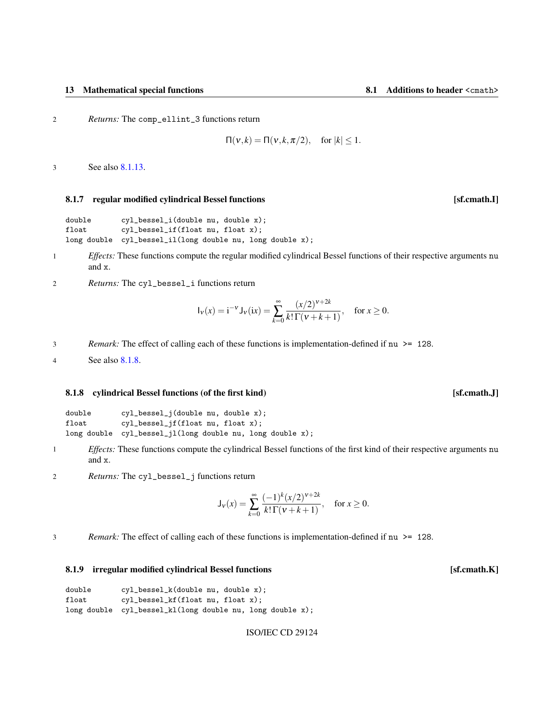<span id="page-20-3"></span>2 *Returns:* The comp\_ellint\_3 functions return

$$
\Pi(v,k) = \Pi(v,k,\pi/2), \quad \text{for } |k| \le 1.
$$

3 See also [8.1.13.](#page-22-1)

### <span id="page-20-0"></span>8.1.7 regular modified cylindrical Bessel functions **and the contract of the contract of the contract of the contract of the contract of the contract of the contract of the contract of the contract of the contract of the c**

```
double cyl_bessel_i(double nu, double x);
float cyl_bessel_if(float nu, float x);
long double cyl_bessel_il(long double nu, long double x);
```
- 1 *Effects:* These functions compute the regular modified cylindrical Bessel functions of their respective arguments nu and x.
- 2 *Returns:* The cyl\_bessel\_i functions return

$$
I_{\nu}(x) = i^{-\nu} J_{\nu}(ix) = \sum_{k=0}^{\infty} \frac{(x/2)^{\nu+2k}}{k!\,\Gamma(\nu+k+1)}, \quad \text{for } x \ge 0.
$$

3 *Remark:* The effect of calling each of these functions is implementation-defined if nu >= 128.

4 See also [8.1.8.](#page-20-1)

### <span id="page-20-1"></span>8.1.8 cylindrical Bessel functions (of the first kind) [sf.cmath.J]

| double | cyl_bessel_j(double nu, double x);                        |
|--------|-----------------------------------------------------------|
| float  | cyl_bessel_jf(float nu, float x);                         |
|        | long double cyl_bessel_jl(long double nu, long double x); |

- 1 *Effects:* These functions compute the cylindrical Bessel functions of the first kind of their respective arguments nu and x.
- 2 *Returns:* The cyl\_bessel\_j functions return

$$
\mathsf{J}_{\mathsf{v}}(x) = \sum_{k=0}^{\infty} \frac{(-1)^k (x/2)^{\mathsf{v}+2k}}{k!\,\Gamma(\mathsf{v}+\mathsf{k}+1)}, \quad \text{for } x \ge 0.
$$

3 *Remark:* The effect of calling each of these functions is implementation-defined if nu >= 128.

### <span id="page-20-2"></span>8.1.9 irregular modified cylindrical Bessel functions [sf.cmath.K]

| double | cyl_bessel_k(double nu, double x);                        |
|--------|-----------------------------------------------------------|
| float  | cyl_bessel_kf(float nu, float x);                         |
|        | long double cyl_bessel_kl(long double nu, long double x); |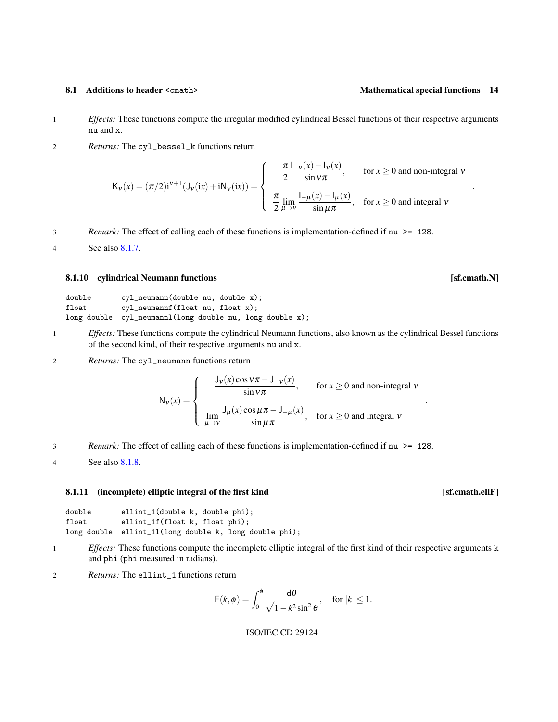- <span id="page-21-2"></span>1 *Effects:* These functions compute the irregular modified cylindrical Bessel functions of their respective arguments nu and x.
- 2 *Returns:* The cyl\_bessel\_k functions return

$$
K_{\nu}(x) = (\pi/2)i^{\nu+1}(J_{\nu}(ix) + iN_{\nu}(ix)) = \begin{cases} \frac{\pi}{2} \frac{I_{-\nu}(x) - I_{\nu}(x)}{\sin \nu \pi}, & \text{for } x \ge 0 \text{ and non-integral } \nu \\ \frac{\pi}{2} \lim_{\mu \to \nu} \frac{I_{-\mu}(x) - I_{\mu}(x)}{\sin \mu \pi}, & \text{for } x \ge 0 \text{ and integral } \nu \end{cases}
$$

3 *Remark:* The effect of calling each of these functions is implementation-defined if nu >= 128.

4 See also [8.1.7.](#page-20-0)

### <span id="page-21-0"></span>8.1.10 cylindrical Neumann functions **and increase and increase and increase in the set of the set of the set of the set of the set of the set of the set of the set of the set of the set of the set of the set of the set of**

| double         | $cyl$ neumann(double nu, double x);                         |
|----------------|-------------------------------------------------------------|
| $_{\tt float}$ | $cyl$ neumannf (float nu, float x);                         |
|                | long double $cy1$ -neumannl(long double nu, long double x); |

- 1 *Effects:* These functions compute the cylindrical Neumann functions, also known as the cylindrical Bessel functions of the second kind, of their respective arguments nu and x.
- 2 *Returns:* The cyl\_neumann functions return

$$
N_v(x) = \begin{cases} \frac{J_v(x)\cos v\pi - J_{-v}(x)}{\sin v\pi}, & \text{for } x \ge 0 \text{ and non-integral } v\\ \lim_{\mu \to v} \frac{J_\mu(x)\cos \mu\pi - J_{-\mu}(x)}{\sin \mu\pi}, & \text{for } x \ge 0 \text{ and integral } v \end{cases}
$$

- 3 *Remark:* The effect of calling each of these functions is implementation-defined if nu >= 128.
- 4 See also [8.1.8.](#page-20-1)

### <span id="page-21-1"></span>8.1.11 (incomplete) elliptic integral of the first kind [sf.cmath.ellF]

| double | ellint_1(double k, double phi);                        |
|--------|--------------------------------------------------------|
| float  | ellint_1f(float k, float phi);                         |
|        | long double ellint_11(long double k, long double phi); |

- 1 *Effects:* These functions compute the incomplete elliptic integral of the first kind of their respective arguments k and phi (phi measured in radians).
- 2 *Returns:* The ellint\_1 functions return

$$
\mathsf{F}(k,\phi)=\int_0^{\phi}\frac{\mathsf{d}\theta}{\sqrt{1-k^2\sin^2\theta}},\quad\text{for }|k|\leq 1.
$$

## ISO/IEC CD 29124

.

.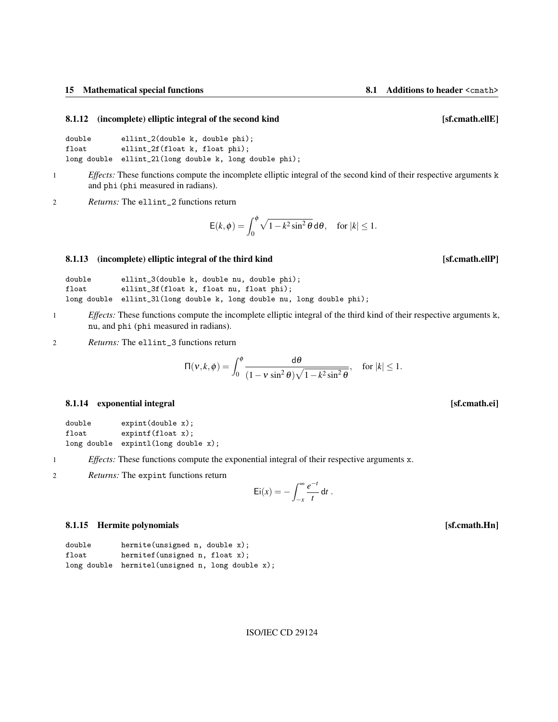### <span id="page-22-4"></span><span id="page-22-0"></span>8.1.12 (incomplete) elliptic integral of the second kind [sf.cmath.ellE]

```
double ellint_2(double k, double phi);
float ellint_2f(float k, float phi);
long double ellint_2l(long double k, long double phi);
```
1 *Effects:* These functions compute the incomplete elliptic integral of the second kind of their respective arguments k and phi (phi measured in radians).

2 *Returns:* The ellint\_2 functions return

$$
\mathsf{E}(k,\phi)=\int_0^{\phi}\sqrt{1-k^2\sin^2\theta}\,\mathrm{d}\theta,\quad\text{for }|k|\leq 1.
$$

### <span id="page-22-1"></span>8.1.13 (incomplete) elliptic integral of the third kind **integral** states and integral of the third kind **integral** states and integral of the third kind **integral** states and integral states and integral states and integr

| double         | ellint_3(double k, double nu, double phi);                             |
|----------------|------------------------------------------------------------------------|
| $_{\tt float}$ | ellint_3f(float k, float nu, float phi);                               |
|                | long double ellint_31(long double k, long double nu, long double phi); |

1 *Effects:* These functions compute the incomplete elliptic integral of the third kind of their respective arguments k, nu, and phi (phi measured in radians).

2 *Returns:* The ellint\_3 functions return

$$
\Pi(v,k,\phi) = \int_0^{\phi} \frac{d\theta}{(1-v\sin^2\theta)\sqrt{1-k^2\sin^2\theta}}, \quad \text{for } |k| \le 1.
$$

### <span id="page-22-2"></span>8.1.14 exponential integral integral integral integral integral integral integral integral integral integral integral integral integral integral integral integral integral integral integral integral integral integral integ

| double | expint(double x);                   |
|--------|-------------------------------------|
| float  | expintf(flost x);                   |
|        | long double expintl(long double x); |

1 *Effects:* These functions compute the exponential integral of their respective arguments x.

2 *Returns:* The expint functions return

$$
\mathrm{Ei}(x) = -\int_{-x}^{\infty} \frac{e^{-t}}{t} dt.
$$

## <span id="page-22-3"></span>8.1.15 Hermite polynomials [sf.cmath.Hn]

| double | hermite(unsigned $n$ , double $x$ );              |
|--------|---------------------------------------------------|
| float  | hermitef (unsigned $n$ , float $x$ );             |
|        | long double hermitel (unsigned n, long double x); |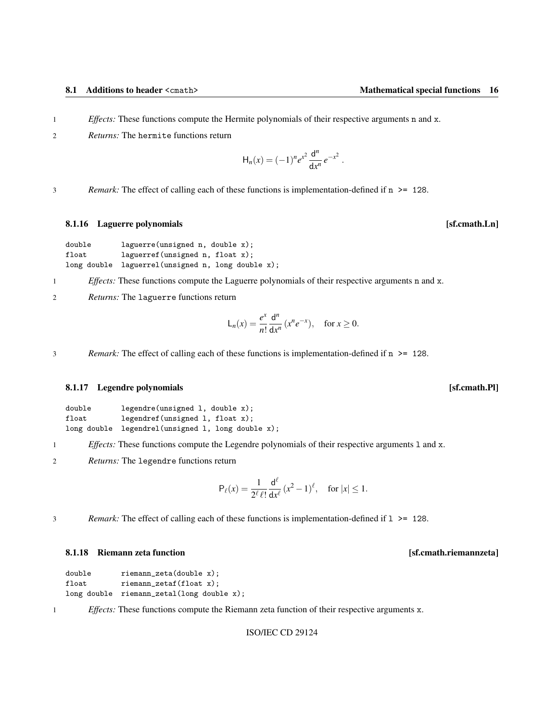- <span id="page-23-3"></span>1 *Effects:* These functions compute the Hermite polynomials of their respective arguments n and x.
- 2 *Returns:* The hermite functions return

$$
H_n(x) = (-1)^n e^{x^2} \frac{d^n}{dx^n} e^{-x^2}.
$$

3 *Remark:* The effect of calling each of these functions is implementation-defined if n >= 128.

### <span id="page-23-0"></span>8.1.16 Laguerre polynomials **and Solution** is a set of the set of the set of the set of the set of the set of the set of the set of the set of the set of the set of the set of the set of the set of the set of the set of th

```
double laguerre(unsigned n, double x);
float laguerref(unsigned n, float x);
long double laguerrel(unsigned n, long double x);
```
1 *Effects:* These functions compute the Laguerre polynomials of their respective arguments n and x.

2 *Returns:* The laguerre functions return

$$
\mathsf{L}_n(x) = \frac{e^x}{n!} \frac{\mathsf{d}^n}{\mathsf{d}x^n} \left( x^n e^{-x} \right), \quad \text{for } x \ge 0.
$$

3 *Remark:* The effect of calling each of these functions is implementation-defined if n >= 128.

### <span id="page-23-1"></span>8.1.17 Legendre polynomials **and in the set of the set of the set of the set of the set of the set of the set of the set of the set of the set of the set of the set of the set of the set of the set of the set of the set of**

| double | legendre(unsigned 1, double x);                   |
|--------|---------------------------------------------------|
| float  | $legent(f(unsigned 1, float x))$ ;                |
|        | long double legendrel(unsigned 1, long double x); |

- 1 *Effects:* These functions compute the Legendre polynomials of their respective arguments l and x.
- 2 *Returns:* The legendre functions return

$$
\mathsf{P}_{\ell}(x) = \frac{1}{2^{\ell} \ell!} \frac{\mathsf{d}^{\ell}}{\mathsf{d} x^{\ell}} \left( x^2 - 1 \right)^{\ell}, \quad \text{for } |x| \leq 1.
$$

3 *Remark:* The effect of calling each of these functions is implementation-defined if l >= 128.

### <span id="page-23-2"></span>8.1.18 Riemann zeta function **being a controlled a controlled a controlled a** controlled a set of structure and s

```
double riemann_zeta(double x);
float riemann_zetaf(float x);
long double riemann_zetal(long double x);
```
1 *Effects:* These functions compute the Riemann zeta function of their respective arguments x.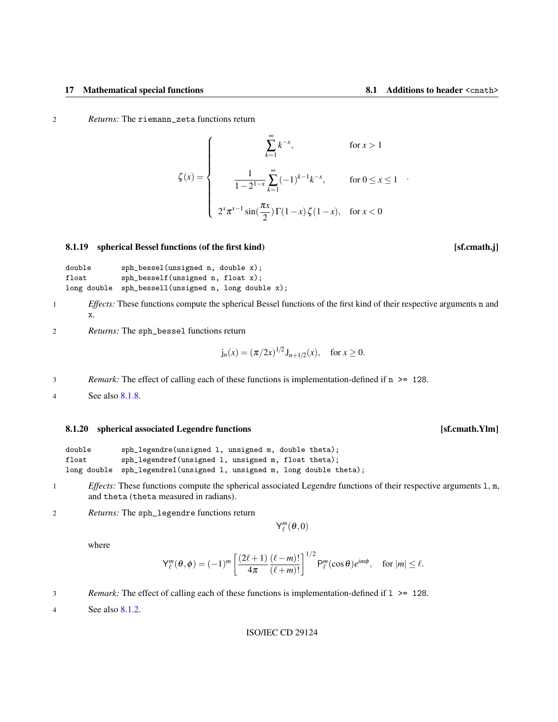.

<span id="page-24-2"></span>2 *Returns:* The riemann\_zeta functions return

$$
\zeta(x) = \begin{cases}\n\sum_{k=1}^{\infty} k^{-x}, & \text{for } x > 1 \\
\frac{1}{1 - 2^{1-x}} \sum_{k=1}^{\infty} (-1)^{k-1} k^{-x}, & \text{for } 0 \le x \le 1 \\
2^{x} \pi^{x-1} \sin(\frac{\pi x}{2}) \Gamma(1-x) \zeta(1-x), & \text{for } x < 0\n\end{cases}
$$

### <span id="page-24-0"></span>8.1.19 spherical Bessel functions (of the first kind) [sf.cmath.j]

```
double sph_bessel(unsigned n, double x);
float sph_besself(unsigned n, float x);
long double sph_bessell(unsigned n, long double x);
```
- 1 *Effects:* These functions compute the spherical Bessel functions of the first kind of their respective arguments n and x.
- 2 *Returns:* The sph\_bessel functions return

$$
j_n(x) = (\pi/2x)^{1/2} J_{n+1/2}(x)
$$
, for  $x \ge 0$ .

3 *Remark:* The effect of calling each of these functions is implementation-defined if n >= 128.

4 See also [8.1.8.](#page-20-1)

### <span id="page-24-1"></span>8.1.20 spherical associated Legendre functions **and the set of the set of the set of the set of the set of the set of the set of the set of the set of the set of the set of the set of the set of the set of the set of the s**

| double         | sph_legendre(unsigned 1, unsigned m, double theta);                   |
|----------------|-----------------------------------------------------------------------|
| $_{\tt float}$ | sph_legendref(unsigned 1, unsigned m, float theta);                   |
|                | long double sph_legendrel(unsigned 1, unsigned m, long double theta); |

- 1 *Effects:* These functions compute the spherical associated Legendre functions of their respective arguments 1, m, and theta (theta measured in radians).
- 2 *Returns:* The sph\_legendre functions return

 $Y_\ell^m(\theta,0)$ 

where

$$
\mathsf{Y}_{\ell}^{m}(\theta,\phi) = (-1)^{m} \left[ \frac{(2\ell+1)}{4\pi} \frac{(\ell-m)!}{(\ell+m)!} \right]^{1/2} \mathsf{P}_{\ell}^{m}(\cos\theta) e^{im\phi}, \quad \text{for } |m| \leq \ell.
$$

- 3 *Remark:* The effect of calling each of these functions is implementation-defined if l >= 128.
- 4 See also [8.1.2.](#page-18-1)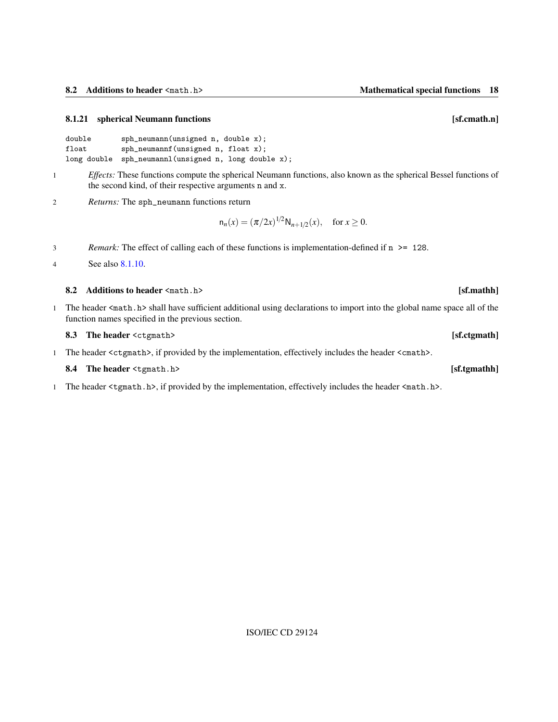## <span id="page-25-4"></span><span id="page-25-0"></span>8.1.21 spherical Neumann functions **and the set of the set of the set of the set of the set of the set of the set of the set of the set of the set of the set of the set of the set of the set of the set of the set of the se**

| double | $sph_{neumann}$ (unsigned n, double x);              |
|--------|------------------------------------------------------|
| float  | $sph$ neumannf (unsigned n, float x);                |
|        | long double sph_neumannl(unsigned n, long double x); |

- 1 *Effects:* These functions compute the spherical Neumann functions, also known as the spherical Bessel functions of the second kind, of their respective arguments n and x.
- 2 *Returns:* The sph\_neumann functions return

$$
n_n(x) = (\pi/2x)^{1/2} N_{n+1/2}(x), \text{ for } x \ge 0.
$$

3 *Remark:* The effect of calling each of these functions is implementation-defined if n >= 128.

4 See also [8.1.10.](#page-21-0)

## <span id="page-25-1"></span>8.2 Additions to header <math.h> [sf.mathh]

1 The header <math.h> shall have sufficient additional using declarations to import into the global name space all of the function names specified in the previous section.

<span id="page-25-2"></span>

| 8.3 The header <ctgmath></ctgmath>                                                                                  | [sf.ctgmath] |
|---------------------------------------------------------------------------------------------------------------------|--------------|
| The header <ctgmath>, if provided by the implementation, effectively includes the header <cmath>.</cmath></ctgmath> |              |

1 The header <tgmath.h>, if provided by the implementation, effectively includes the header <math.h>.

## <span id="page-25-3"></span>8.4 The header  $\langle \text{tgmath.h} \rangle$  [sf.tgmathh]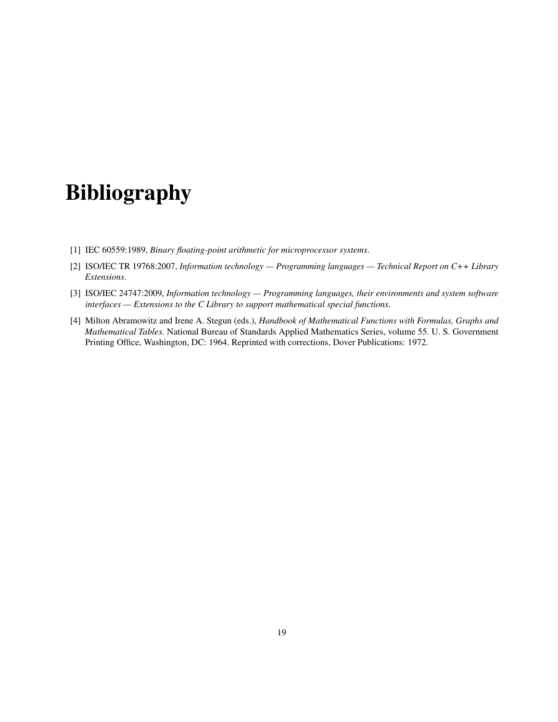# Bibliography

- <span id="page-26-0"></span>[1] IEC 60559:1989, *Binary floating-point arithmetic for microprocessor systems*.
- <span id="page-26-1"></span>[2] ISO/IEC TR 19768:2007, *Information technology — Programming languages — Technical Report on C++ Library Extensions*.
- <span id="page-26-2"></span>[3] ISO/IEC 24747:2009, *Information technology — Programming languages, their environments and system software interfaces — Extensions to the C Library to support mathematical special functions*.
- [4] Milton Abramowitz and Irene A. Stegun (eds.), *Handbook of Mathematical Functions with Formulas, Graphs and Mathematical Tables*. National Bureau of Standards Applied Mathematics Series, volume 55. U. S. Government Printing Office, Washington, DC: 1964. Reprinted with corrections, Dover Publications: 1972.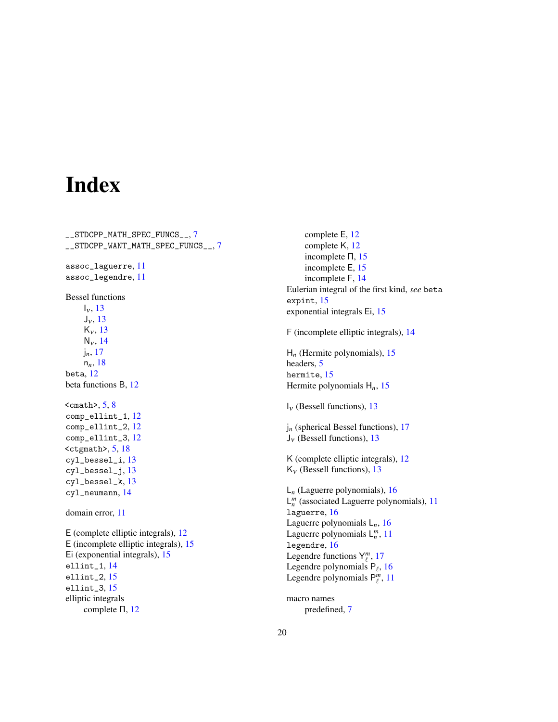## Index

<span id="page-27-0"></span>\_\_STDCPP\_MATH\_SPEC\_FUNCS\_\_, [7](#page-14-5) \_\_STDCPP\_WANT\_MATH\_SPEC\_FUNCS\_\_, [7](#page-14-5) assoc\_laguerre, [11](#page-18-3) assoc\_legendre, [11](#page-18-3) Bessel functions  $I_v$ , [13](#page-20-3)  $J_v$ , [13](#page-20-3)  $K_v$ , [13](#page-20-3)  $N_v$ , [14](#page-21-2) j*n*, [17](#page-24-2) n*n*, [18](#page-25-4) beta, [12](#page-19-4) beta functions B, [12](#page-19-4)  $<$ cmath>, [5,](#page-12-3) [8](#page-15-3) comp\_ellint\_1, [12](#page-19-4) comp\_ellint\_2, [12](#page-19-4) comp\_ellint\_3, [12](#page-19-4)  $<$ ctgmath $>$ , [5,](#page-12-3) [18](#page-25-4) cyl\_bessel\_i, [13](#page-20-3) cyl\_bessel\_j, [13](#page-20-3) cyl\_bessel\_k, [13](#page-20-3) cyl\_neumann, [14](#page-21-2) domain error, [11](#page-18-3) E (complete elliptic integrals), [12](#page-19-4) E (incomplete elliptic integrals), [15](#page-22-4) Ei (exponential integrals), [15](#page-22-4) ellint\_1, [14](#page-21-2) ellint\_2, [15](#page-22-4) ellint\_3, [15](#page-22-4) elliptic integrals complete Π, [12](#page-19-4)

complete E, [12](#page-19-4) complete K, [12](#page-19-4) incomplete Π, [15](#page-22-4) incomplete E, [15](#page-22-4) incomplete F, [14](#page-21-2) Eulerian integral of the first kind, *see* beta expint, [15](#page-22-4) exponential integrals Ei, [15](#page-22-4) F (incomplete elliptic integrals), [14](#page-21-2) H*<sup>n</sup>* (Hermite polynomials), [15](#page-22-4) headers, [5](#page-12-3) hermite, [15](#page-22-4) Hermite polynomials H*n*, [15](#page-22-4)  $I_v$  (Bessell functions), [13](#page-20-3) j*<sup>n</sup>* (spherical Bessel functions), [17](#page-24-2)  $J_v$  (Bessell functions), [13](#page-20-3) K (complete elliptic integrals), [12](#page-19-4)  $K_v$  (Bessell functions), [13](#page-20-3) L*<sup>n</sup>* (Laguerre polynomials), [16](#page-23-3)  $L_n^m$  (associated Laguerre polynomials), [11](#page-18-3) laguerre, [16](#page-23-3) Laguerre polynomials L*n*, [16](#page-23-3) Laguerre polynomials  $L_n^m$ , [11](#page-18-3) legendre, [16](#page-23-3) Legendre functions  $Y_{\ell}^{m}$ , [17](#page-24-2) Legendre polynomials  $P_\ell$ , [16](#page-23-3) Legendre polynomials  $P_\ell^m$ , [11](#page-18-3) macro names

predefined, [7](#page-14-5)